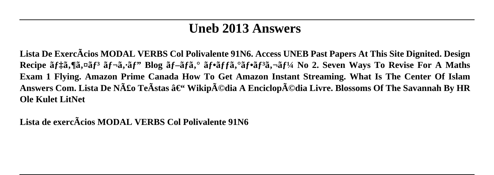## **Uneb 2013 Answers**

**Lista De ExercÃcios MODAL VERBS Col Polivalente 91N6. Access UNEB Past Papers At This Site Dignited. Design** Recipe  $\tilde{a}f\tilde{a}$ , $\tilde{a}f\tilde{a}$ , $\tilde{a}f\tilde{a}$ , $\tilde{a}f\tilde{a}$ , $\tilde{a}f\tilde{a}$ , $\tilde{a}f\tilde{a}$ , $\tilde{a}f\tilde{a}$ , $\tilde{a}f\tilde{a}$ , $\tilde{a}f\tilde{a}$ , $\tilde{a}f\tilde{a}$ , $\tilde{a}f\tilde{a}$ , $\tilde{a}f\tilde{a}$ , $\tilde{a}f\tilde{a}$ , $\tilde{a}$ **Exam 1 Flying. Amazon Prime Canada How To Get Amazon Instant Streaming. What Is The Center Of Islam** Answers Com. Lista De Não TeÃstas – Wikipédia A Enciclopédia Livre. Blossoms Of The Savannah By HR **Ole Kulet LitNet**

**Lista de exercÃcios MODAL VERBS Col Polivalente 91N6**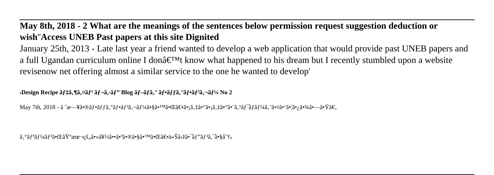## **May 8th, 2018 - 2 What are the meanings of the sentences below permission request suggestion deduction or wish**''**Access UNEB Past papers at this site Dignited**

January 25th, 2013 - Late last year a friend wanted to develop a web application that would provide past UNEB papers and a full Ugandan curriculum online I don $\hat{\mathcal{A}}^{\text{TM}}$  know what happened to his dream but I recently stumbled upon a website revisenow net offering almost a similar service to the one he wanted to develop'

'**Design Recipe デザイン レシピ Blog ブãƒã'° フッグフンガー No 2**

May 7th, 2018 - å ^日㕮フãƒfã,°ãƒ•ヾã¬ãƒ¼ã•§ã•™ã•Œã€•ã•¡ã,‡ã•"ã•¡ã,‡ã•"㕨ã,<sup>1</sup>ワãƒãƒ¼ã,`㕤ã•'㕦㕿㕾㕗㕟ã€,

ã, °ã f<sup>a</sup>ã f¼ã f<sup>3</sup>㕌埰本çš,,㕫好㕕㕪㕮㕧㕙㕌〕今回㕯ã f"ã f<sup>3</sup>ã,¯ã•§â~<del>¡</del>i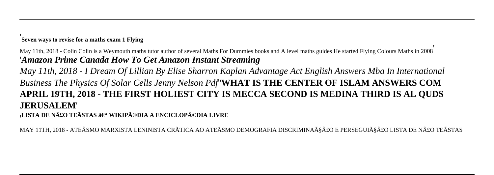## '**Seven ways to revise for a maths exam 1 Flying**

May 11th, 2018 - Colin Colin is a Weymouth maths tutor author of several Maths For Dummies books and A level maths guides He started Flying Colours Maths in 2008' '*Amazon Prime Canada How To Get Amazon Instant Streaming*

*May 11th, 2018 - I Dream Of Lillian By Elise Sharron Kaplan Advantage Act English Answers Mba In International Business The Physics Of Solar Cells Jenny Nelson Pdf*''**WHAT IS THE CENTER OF ISLAM ANSWERS COM APRIL 19TH, 2018 - THE FIRST HOLIEST CITY IS MECCA SECOND IS MEDINA THIRD IS AL QUDS JERUSALEM**'

**¦LISTA DE NãO TEÃSTAS – WIKIPéDIA A ENCICLOPéDIA LIVRE** 

MAY 11TH, 2018 - ATEÃSMO MARXISTA LENINISTA CRÃTICA AO ATEÃSMO DEMOGRAFIA DISCRIMINAçãO E PERSEGUIçãO LISTA DE NãO TEÃSTAS